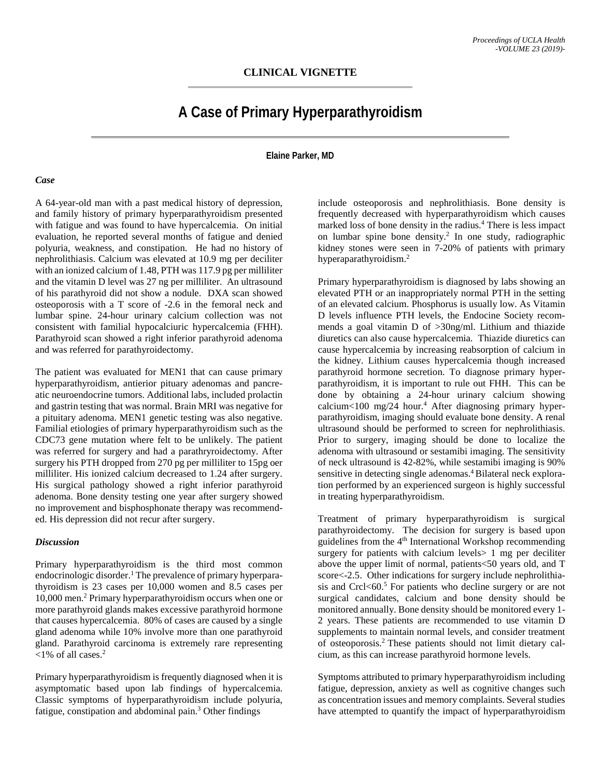## **A Case of Primary Hyperparathyroidism**

**Elaine Parker, MD**

## *Case*

A 64-year-old man with a past medical history of depression, and family history of primary hyperparathyroidism presented with fatigue and was found to have hypercalcemia. On initial evaluation, he reported several months of fatigue and denied polyuria, weakness, and constipation. He had no history of nephrolithiasis. Calcium was elevated at 10.9 mg per deciliter with an ionized calcium of 1.48, PTH was 117.9 pg per milliliter and the vitamin D level was 27 ng per milliliter. An ultrasound of his parathyroid did not show a nodule. DXA scan showed osteoporosis with a T score of -2.6 in the femoral neck and lumbar spine. 24-hour urinary calcium collection was not consistent with familial hypocalciuric hypercalcemia (FHH). Parathyroid scan showed a right inferior parathyroid adenoma and was referred for parathyroidectomy.

The patient was evaluated for MEN1 that can cause primary hyperparathyroidism, antierior pituary adenomas and pancreatic neuroendocrine tumors. Additional labs, included prolactin and gastrin testing that was normal. Brain MRI was negative for a pituitary adenoma. MEN1 genetic testing was also negative. Familial etiologies of primary hyperparathyroidism such as the CDC73 gene mutation where felt to be unlikely. The patient was referred for surgery and had a parathryroidectomy. After surgery his PTH dropped from 270 pg per milliliter to 15pg oer milliliter. His ionized calcium decreased to 1.24 after surgery. His surgical pathology showed a right inferior parathyroid adenoma. Bone density testing one year after surgery showed no improvement and bisphosphonate therapy was recommended. His depression did not recur after surgery.

## *Discussion*

Primary hyperparathyroidism is the third most common endocrinologic disorder.<sup>1</sup> The prevalence of primary hyperparathyroidism is 23 cases per 10,000 women and 8.5 cases per 10,000 men. <sup>2</sup> Primary hyperparathyroidism occurs when one or more parathyroid glands makes excessive parathyroid hormone that causes hypercalcemia. 80% of cases are caused by a single gland adenoma while 10% involve more than one parathyroid gland. Parathyroid carcinoma is extremely rare representing  $<$ 1% of all cases.<sup>2</sup>

Primary hyperparathyroidism is frequently diagnosed when it is asymptomatic based upon lab findings of hypercalcemia. Classic symptoms of hyperparathyroidism include polyuria, fatigue, constipation and abdominal pain. <sup>3</sup> Other findings

include osteoporosis and nephrolithiasis. Bone density is frequently decreased with hyperparathyroidism which causes marked loss of bone density in the radius. <sup>4</sup> There is less impact on lumbar spine bone density. <sup>2</sup> In one study, radiographic kidney stones were seen in 7-20% of patients with primary hyperaparathyroidism. 2

Primary hyperparathyroidism is diagnosed by labs showing an elevated PTH or an inappropriately normal PTH in the setting of an elevated calcium. Phosphorus is usually low. As Vitamin D levels influence PTH levels, the Endocine Society recommends a goal vitamin D of >30ng/ml. Lithium and thiazide diuretics can also cause hypercalcemia. Thiazide diuretics can cause hypercalcemia by increasing reabsorption of calcium in the kidney. Lithium causes hypercalcemia though increased parathyroid hormone secretion. To diagnose primary hyperparathyroidism, it is important to rule out FHH. This can be done by obtaining a 24-hour urinary calcium showing calcium $\leq 100$  mg/24 hour.<sup>4</sup> After diagnosing primary hyperparathyroidism, imaging should evaluate bone density. A renal ultrasound should be performed to screen for nephrolithiasis. Prior to surgery, imaging should be done to localize the adenoma with ultrasound or sestamibi imaging. The sensitivity of neck ultrasound is 42-82%, while sestamibi imaging is 90% sensitive in detecting single adenomas.<sup>4</sup> Bilateral neck exploration performed by an experienced surgeon is highly successful in treating hyperparathyroidism.

Treatment of primary hyperparathyroidism is surgical parathyroidectomy. The decision for surgery is based upon guidelines from the 4<sup>th</sup> International Workshop recommending surgery for patients with calcium levels in 1 mg per deciliter above the upper limit of normal, patients<50 years old, and T score<-2.5. Other indications for surgery include nephrolithiasis and Crcl<60.<sup>5</sup> For patients who decline surgery or are not surgical candidates, calcium and bone density should be monitored annually. Bone density should be monitored every 1- 2 years. These patients are recommended to use vitamin D supplements to maintain normal levels, and consider treatment of osteoporosis.2 These patients should not limit dietary calcium, as this can increase parathyroid hormone levels.

Symptoms attributed to primary hyperparathyroidism including fatigue, depression, anxiety as well as cognitive changes such as concentration issues and memory complaints. Several studies have attempted to quantify the impact of hyperparathyroidism